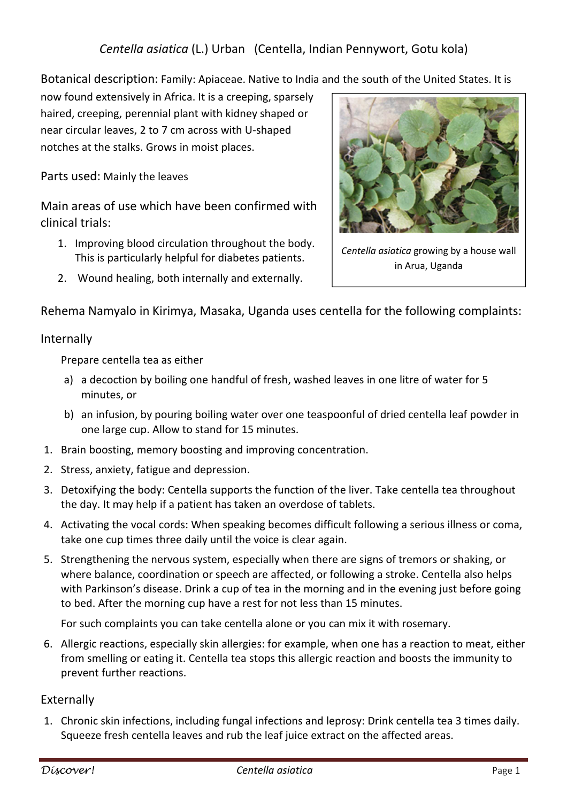Botanical description: Family: Apiaceae. Native to India and the south of the United States. It is

now found extensively in Africa. It is a creeping, sparsely haired, creeping, perennial plant with kidney shaped or near circular leaves, 2 to 7 cm across with U-shaped notches at the stalks. Grows in moist places.

Parts used: Mainly the leaves

Main areas of use which have been confirmed with clinical trials:

- 1. Improving blood circulation throughout the body. This is particularly helpful for diabetes patients.
- 2. Wound healing, both internally and externally.



*Centella asiatica* growing by a house wall in Arua, Uganda

Rehema Namyalo in Kirimya, Masaka, Uganda uses centella for the following complaints:

## Internally

Prepare centella tea as either

- a) a decoction by boiling one handful of fresh, washed leaves in one litre of water for 5 minutes, or
- b) an infusion, by pouring boiling water over one teaspoonful of dried centella leaf powder in one large cup. Allow to stand for 15 minutes.
- 1. Brain boosting, memory boosting and improving concentration.
- 2. Stress, anxiety, fatigue and depression.
- 3. Detoxifying the body: Centella supports the function of the liver. Take centella tea throughout the day. It may help if a patient has taken an overdose of tablets.
- 4. Activating the vocal cords: When speaking becomes difficult following a serious illness or coma, take one cup times three daily until the voice is clear again.
- 5. Strengthening the nervous system, especially when there are signs of tremors or shaking, or where balance, coordination or speech are affected, or following a stroke. Centella also helps with Parkinson's disease. Drink a cup of tea in the morning and in the evening just before going to bed. After the morning cup have a rest for not less than 15 minutes.

For such complaints you can take centella alone or you can mix it with rosemary.

6. Allergic reactions, especially skin allergies: for example, when one has a reaction to meat, either from smelling or eating it. Centella tea stops this allergic reaction and boosts the immunity to prevent further reactions.

## Externally

1. Chronic skin infections, including fungal infections and leprosy: Drink centella tea 3 times daily. Squeeze fresh centella leaves and rub the leaf juice extract on the affected areas.